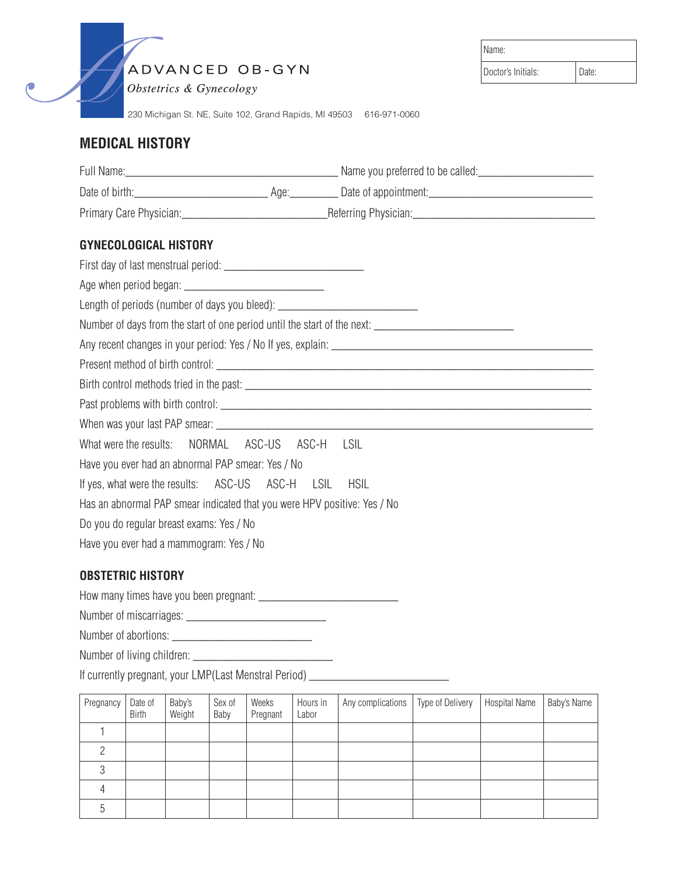ADVANCED OB-GYN

| <i><b>Obstetrics &amp; Gynecology</b></i> |  |
|-------------------------------------------|--|
|-------------------------------------------|--|

230 Michigan St. NE, Suite 102, Grand Rapids, MI 49503 616-971-0060

# **MEDICAL HISTORY**

| <b>GYNECOLOGICAL HISTORY</b>                                                                        |             |
|-----------------------------------------------------------------------------------------------------|-------------|
|                                                                                                     |             |
|                                                                                                     |             |
| Length of periods (number of days you bleed): __________________________________                    |             |
| Number of days from the start of one period until the start of the next: __________________________ |             |
|                                                                                                     |             |
|                                                                                                     |             |
|                                                                                                     |             |
|                                                                                                     |             |
|                                                                                                     |             |
| What were the results:   NORMAL   ASC-US   ASC-H   LSIL                                             |             |
| Have you ever had an abnormal PAP smear: Yes / No                                                   |             |
| If yes, what were the results: ASC-US ASC-H LSIL                                                    | <b>HSIL</b> |
| Has an abnormal PAP smear indicated that you were HPV positive: Yes / No                            |             |
| Do you do regular breast exams: Yes / No                                                            |             |
| Have you ever had a mammogram: Yes / No                                                             |             |

#### **OBSTETRIC HISTORY**

How many times have you been pregnant: \_\_\_\_\_\_\_\_\_\_\_\_\_\_\_\_\_\_\_\_\_\_\_

Number of miscarriages: \_\_\_\_\_\_\_\_\_\_\_\_\_\_\_\_\_\_\_\_\_\_\_

Number of abortions: \_\_\_\_\_\_\_\_\_\_\_\_\_\_\_\_\_\_\_\_\_\_\_

Number of living children: \_\_\_\_\_\_\_\_\_\_\_\_\_\_\_\_\_\_\_\_\_\_\_

If currently pregnant, your LMP(Last Menstral Period) \_\_\_\_\_\_\_\_\_\_\_\_\_\_\_\_\_\_\_\_\_\_\_\_\_\_

| Pregnancy | Date of<br><b>Birth</b> | Baby's<br>Weight | Sex of<br>Baby | Weeks<br>Pregnant | Hours in<br>Labor | Any complications   Type of Delivery | <b>Hospital Name</b> | Baby's Name |
|-----------|-------------------------|------------------|----------------|-------------------|-------------------|--------------------------------------|----------------------|-------------|
|           |                         |                  |                |                   |                   |                                      |                      |             |
|           |                         |                  |                |                   |                   |                                      |                      |             |
|           |                         |                  |                |                   |                   |                                      |                      |             |
|           |                         |                  |                |                   |                   |                                      |                      |             |
|           |                         |                  |                |                   |                   |                                      |                      |             |

Name: Doctor's Initials: | Date: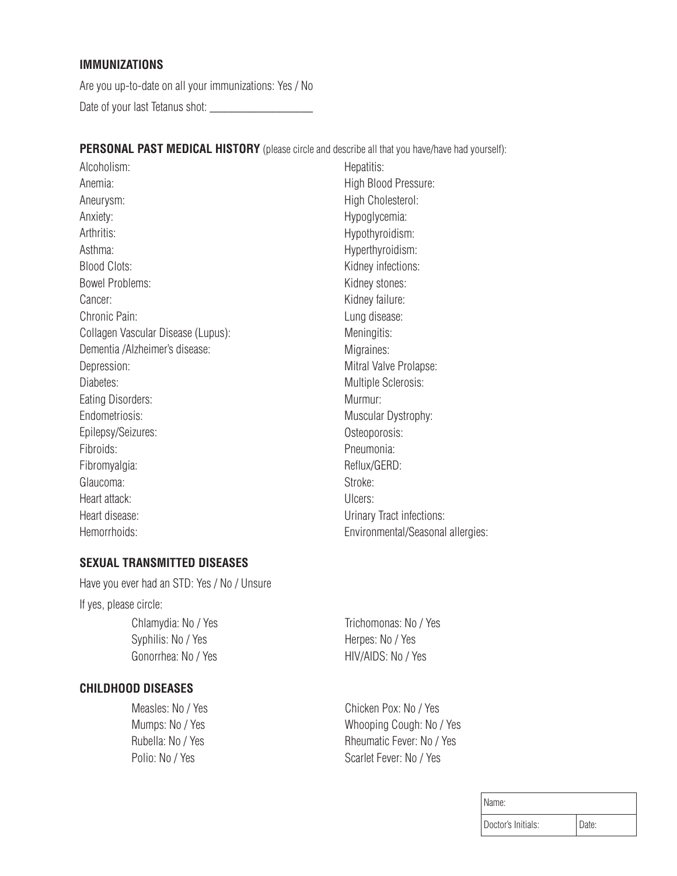#### **IMMUNIZATIONS**

Are you up-to-date on all your immunizations: Yes / No Date of your last Tetanus shot: \_\_\_\_\_\_\_

**PERSONAL PAST MEDICAL HISTORY** (please circle and describe all that you have/have had yourself):

Alcoholism: Anemia: Aneurysm: Anxiety: Arthritis: Asthma: Blood Clots: Bowel Problems: Cancer: Chronic Pain: Collagen Vascular Disease (Lupus): Dementia /Alzheimer's disease: Depression: Diabetes: Eating Disorders: Endometriosis: Epilepsy/Seizures: Fibroids: Fibromyalgia: Glaucoma: Heart attack: Heart disease: Hemorrhoids:

Hepatitis: High Blood Pressure: High Cholesterol: Hypoglycemia: Hypothyroidism: Hyperthyroidism: Kidney infections: Kidney stones: Kidney failure: Lung disease: Meningitis: Migraines: Mitral Valve Prolapse: Multiple Sclerosis: Murmur: Muscular Dystrophy: Osteoporosis: Pneumonia: Reflux/GERD: Stroke: Ulcers: Urinary Tract infections: Environmental/Seasonal allergies:

### **SEXUAL TRANSMITTED DISEASES**

Have you ever had an STD: Yes / No / Unsure If yes, please circle: Chlamydia: No / Yes Syphilis: No / Yes Gonorrhea: No / Yes

**CHILDHOOD DISEASES**

Measles: No / Yes Mumps: No / Yes Rubella: No / Yes Polio: No / Yes

Trichomonas: No / Yes Herpes: No / Yes HIV/AIDS: No / Yes

Chicken Pox: No / Yes Whooping Cough: No / Yes Rheumatic Fever: No / Yes Scarlet Fever: No / Yes

| Name:              |       |
|--------------------|-------|
| Doctor's Initials: | Date: |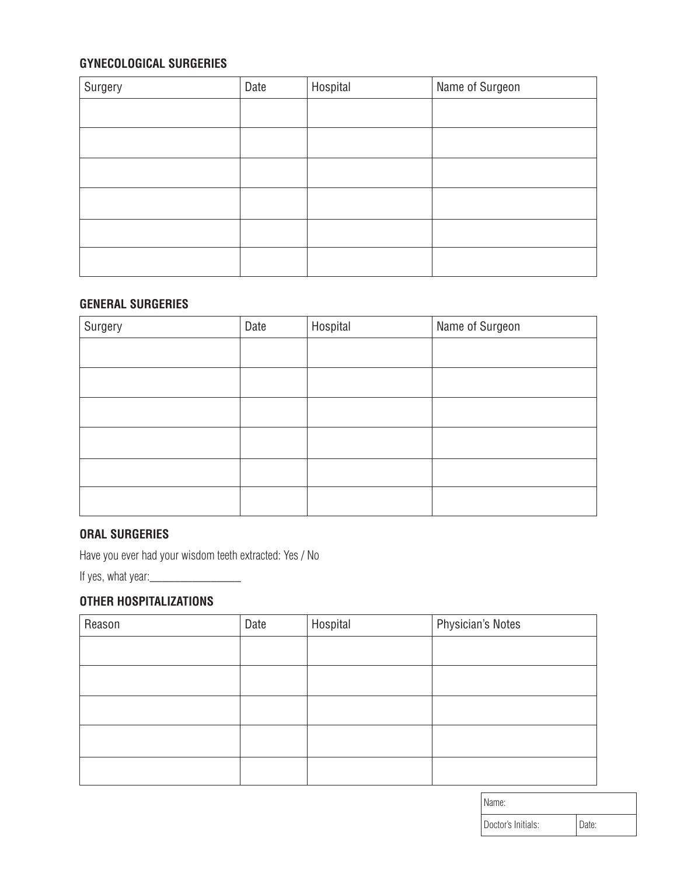# **GYNECOLOGICAL SURGERIES**

| Surgery | Date | Hospital | Name of Surgeon |
|---------|------|----------|-----------------|
|         |      |          |                 |
|         |      |          |                 |
|         |      |          |                 |
|         |      |          |                 |
|         |      |          |                 |
|         |      |          |                 |

### **GENERAL SURGERIES**

| Surgery | Date | Hospital | Name of Surgeon |
|---------|------|----------|-----------------|
|         |      |          |                 |
|         |      |          |                 |
|         |      |          |                 |
|         |      |          |                 |
|         |      |          |                 |
|         |      |          |                 |

## **ORAL SURGERIES**

Have you ever had your wisdom teeth extracted: Yes / No

If yes, what year:\_\_\_\_\_\_\_\_\_\_\_\_\_\_\_

### **OTHER HOSPITALIZATIONS**

| Reason | Date | Hospital | <b>Physician's Notes</b> |
|--------|------|----------|--------------------------|
|        |      |          |                          |
|        |      |          |                          |
|        |      |          |                          |
|        |      |          |                          |
|        |      |          |                          |

| Name:              |       |
|--------------------|-------|
| Doctor's Initials: | )ate: |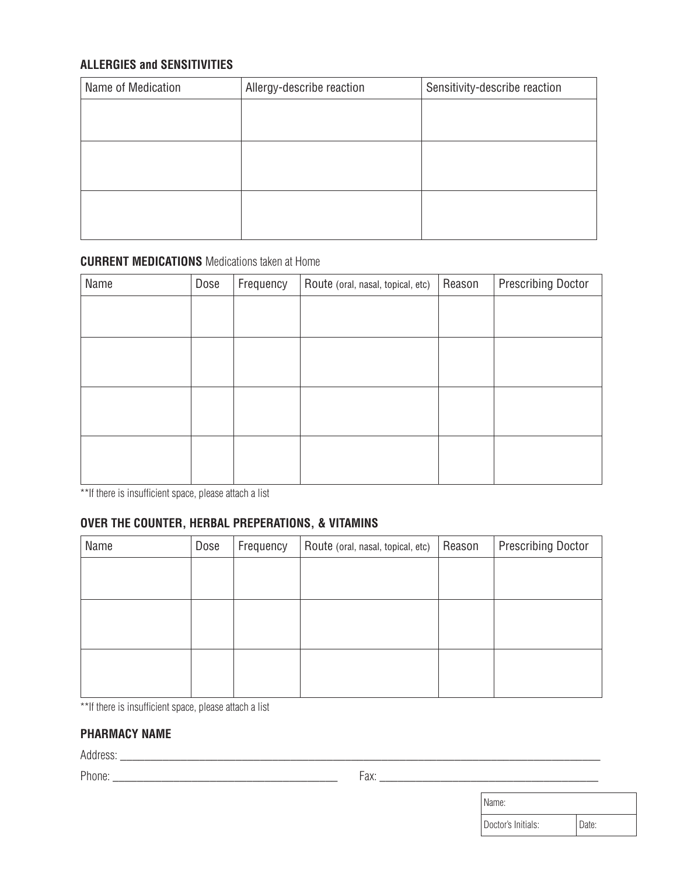### **ALLERGIES and SENSITIVITIES**

| Name of Medication | Allergy-describe reaction | Sensitivity-describe reaction |
|--------------------|---------------------------|-------------------------------|
|                    |                           |                               |
|                    |                           |                               |
|                    |                           |                               |
|                    |                           |                               |
|                    |                           |                               |
|                    |                           |                               |

#### **CURRENT MEDICATIONS** Medications taken at Home

| Name | Dose | Frequency | Route (oral, nasal, topical, etc) | Reason | <b>Prescribing Doctor</b> |
|------|------|-----------|-----------------------------------|--------|---------------------------|
|      |      |           |                                   |        |                           |
|      |      |           |                                   |        |                           |
|      |      |           |                                   |        |                           |
|      |      |           |                                   |        |                           |
|      |      |           |                                   |        |                           |
|      |      |           |                                   |        |                           |
|      |      |           |                                   |        |                           |
|      |      |           |                                   |        |                           |

\*\*If there is insufficient space, please attach a list

### **OVER THE COUNTER, HERBAL PREPERATIONS, & VITAMINS**

| Name | Dose | Frequency | Route (oral, nasal, topical, etc) | Reason | <b>Prescribing Doctor</b> |
|------|------|-----------|-----------------------------------|--------|---------------------------|
|      |      |           |                                   |        |                           |
|      |      |           |                                   |        |                           |
|      |      |           |                                   |        |                           |
|      |      |           |                                   |        |                           |
|      |      |           |                                   |        |                           |
|      |      |           |                                   |        |                           |

\*\*If there is insufficient space, please attach a list

#### **PHARMACY NAME**

Address: \_\_\_\_\_\_\_\_\_\_\_\_\_\_\_\_\_\_\_\_\_\_\_\_\_\_\_\_\_\_\_\_\_\_\_\_\_\_\_\_\_\_\_\_\_\_\_\_\_\_\_\_\_\_\_\_\_\_\_\_\_\_\_\_\_\_\_\_\_\_\_\_\_\_\_\_\_\_\_

Phone: \_\_\_\_\_\_\_\_\_\_\_\_\_\_\_\_\_\_\_\_\_\_\_\_\_\_\_\_\_\_\_\_\_\_\_\_\_ Fax: \_\_\_\_\_\_\_\_\_\_\_\_\_\_\_\_\_\_\_\_\_\_\_\_\_\_\_\_\_\_\_\_\_\_\_\_

| Name:              |       |
|--------------------|-------|
| Doctor's Initials: | Date: |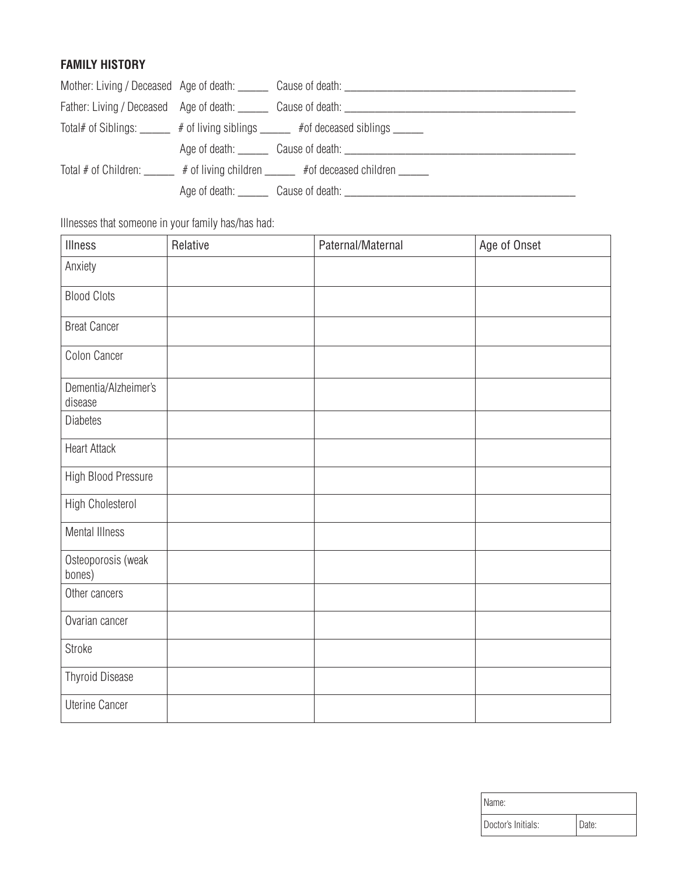# **FAMILY HISTORY**

|  | Mother: Living / Deceased Age of death: Cause of death: Cause of death: Call Cause 1 and 2011 11: Mother: Living / Deceased Age of death:                                                                                      |
|--|--------------------------------------------------------------------------------------------------------------------------------------------------------------------------------------------------------------------------------|
|  | Father: Living / Deceased Age of death: Cause of death: Cause of death: Cause of death: Cause Cause Cause Cause Cause Cause Cause Cause Cause Cause Cause Cause Cause Cause Cause Cause Cause Cause Cause Cause Cause Cause Ca |
|  | Total# of Siblings: ______ # of living siblings _____ # of deceased siblings _____                                                                                                                                             |
|  | Age of death: Cause of death: Cause of death: Cause Cause of death: Cause Cause Cause Cause of death:                                                                                                                          |
|  | Total # of Children: _____ # of living children _____ # of deceased children ____                                                                                                                                              |
|  | Age of death: Cause of death: Cause of death:                                                                                                                                                                                  |

Illnesses that someone in your family has/has had:

| Illness                         | Relative | Paternal/Maternal | Age of Onset |
|---------------------------------|----------|-------------------|--------------|
| Anxiety                         |          |                   |              |
| <b>Blood Clots</b>              |          |                   |              |
| <b>Breat Cancer</b>             |          |                   |              |
| Colon Cancer                    |          |                   |              |
| Dementia/Alzheimer's<br>disease |          |                   |              |
| <b>Diabetes</b>                 |          |                   |              |
| <b>Heart Attack</b>             |          |                   |              |
| High Blood Pressure             |          |                   |              |
| High Cholesterol                |          |                   |              |
| <b>Mental Illness</b>           |          |                   |              |
| Osteoporosis (weak<br>bones)    |          |                   |              |
| Other cancers                   |          |                   |              |
| Ovarian cancer                  |          |                   |              |
| Stroke                          |          |                   |              |
| <b>Thyroid Disease</b>          |          |                   |              |
| <b>Uterine Cancer</b>           |          |                   |              |

| I Name:            |       |
|--------------------|-------|
| Doctor's Initials: | Date: |